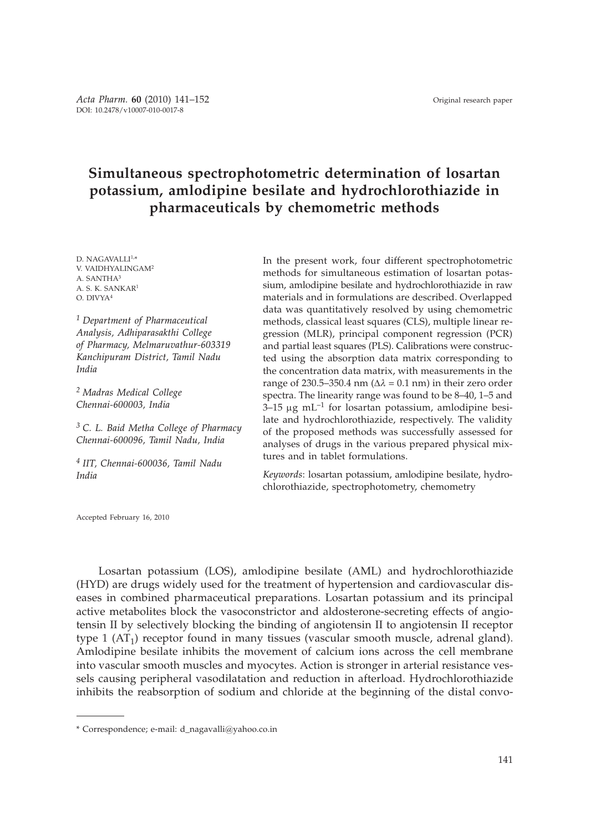# **Simultaneous spectrophotometric determination of losartan potassium, amlodipine besilate and hydrochlorothiazide in pharmaceuticals by chemometric methods**

D. NAGAVALLI<sup>1,\*</sup> V. VAIDHYALINGAM2 A. SANTHA<sup>3</sup> A. S. K. SANKAR1 O. DIVYA4

*<sup>1</sup> Department of Pharmaceutical Analysis, Adhiparasakthi College of Pharmacy, Melmaruvathur-603319 Kanchipuram District, Tamil Nadu India*

*<sup>2</sup> Madras Medical College Chennai-600003, India*

*<sup>3</sup> C. L. Baid Metha College of Pharmacy Chennai-600096, Tamil Nadu, India*

*<sup>4</sup> IIT, Chennai-600036, Tamil Nadu India*

Accepted February 16, 2010

In the present work, four different spectrophotometric methods for simultaneous estimation of losartan potassium, amlodipine besilate and hydrochlorothiazide in raw materials and in formulations are described. Overlapped data was quantitatively resolved by using chemometric methods, classical least squares (CLS), multiple linear regression (MLR), principal component regression (PCR) and partial least squares (PLS). Calibrations were constructed using the absorption data matrix corresponding to the concentration data matrix, with measurements in the range of 230.5–350.4 nm  $(\Delta \lambda = 0.1$  nm) in their zero order spectra. The linearity range was found to be 8–40, 1–5 and  $3-15 \mu g$  mL<sup>-1</sup> for losartan potassium, amlodipine besilate and hydrochlorothiazide, respectively. The validity of the proposed methods was successfully assessed for analyses of drugs in the various prepared physical mixtures and in tablet formulations.

*Keywords*: losartan potassium, amlodipine besilate, hydrochlorothiazide, spectrophotometry, chemometry

Losartan potassium (LOS), amlodipine besilate (AML) and hydrochlorothiazide (HYD) are drugs widely used for the treatment of hypertension and cardiovascular diseases in combined pharmaceutical preparations. Losartan potassium and its principal active metabolites block the vasoconstrictor and aldosterone-secreting effects of angiotensin II by selectively blocking the binding of angiotensin II to angiotensin II receptor type  $1 (AT<sub>1</sub>)$  receptor found in many tissues (vascular smooth muscle, adrenal gland). Amlodipine besilate inhibits the movement of calcium ions across the cell membrane into vascular smooth muscles and myocytes. Action is stronger in arterial resistance vessels causing peripheral vasodilatation and reduction in afterload. Hydrochlorothiazide inhibits the reabsorption of sodium and chloride at the beginning of the distal convo-

<sup>\*</sup> Correspondence; e-mail: d\_nagavalli*@*yahoo.co.in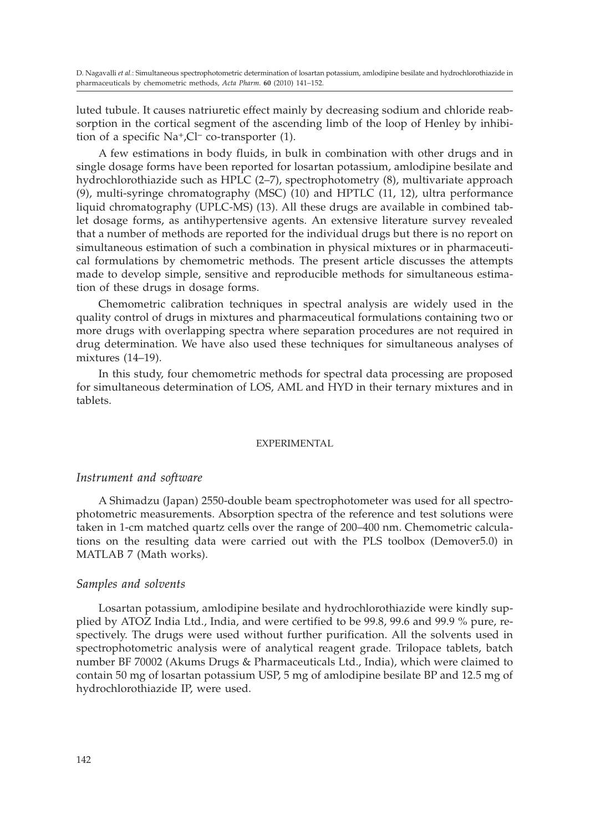luted tubule. It causes natriuretic effect mainly by decreasing sodium and chloride reabsorption in the cortical segment of the ascending limb of the loop of Henley by inhibition of a specific Na+,Cl– co-transporter (1).

A few estimations in body fluids, in bulk in combination with other drugs and in single dosage forms have been reported for losartan potassium, amlodipine besilate and hydrochlorothiazide such as HPLC (2–7), spectrophotometry (8), multivariate approach (9), multi-syringe chromatography (MSC) (10) and HPTLC (11, 12), ultra performance liquid chromatography (UPLC-MS) (13). All these drugs are available in combined tablet dosage forms, as antihypertensive agents. An extensive literature survey revealed that a number of methods are reported for the individual drugs but there is no report on simultaneous estimation of such a combination in physical mixtures or in pharmaceutical formulations by chemometric methods. The present article discusses the attempts made to develop simple, sensitive and reproducible methods for simultaneous estimation of these drugs in dosage forms.

Chemometric calibration techniques in spectral analysis are widely used in the quality control of drugs in mixtures and pharmaceutical formulations containing two or more drugs with overlapping spectra where separation procedures are not required in drug determination. We have also used these techniques for simultaneous analyses of mixtures (14–19).

In this study, four chemometric methods for spectral data processing are proposed for simultaneous determination of LOS, AML and HYD in their ternary mixtures and in tablets.

#### EXPERIMENTAL

### *Instrument and software*

A Shimadzu (Japan) 2550-double beam spectrophotometer was used for all spectrophotometric measurements. Absorption spectra of the reference and test solutions were taken in 1-cm matched quartz cells over the range of 200–400 nm. Chemometric calculations on the resulting data were carried out with the PLS toolbox (Demover5.0) in MATLAB 7 (Math works).

#### *Samples and solvents*

Losartan potassium, amlodipine besilate and hydrochlorothiazide were kindly supplied by ATOZ India Ltd., India, and were certified to be 99.8, 99.6 and 99.9 % pure, respectively. The drugs were used without further purification. All the solvents used in spectrophotometric analysis were of analytical reagent grade. Trilopace tablets, batch number BF 70002 (Akums Drugs & Pharmaceuticals Ltd., India), which were claimed to contain 50 mg of losartan potassium USP, 5 mg of amlodipine besilate BP and 12.5 mg of hydrochlorothiazide IP, were used.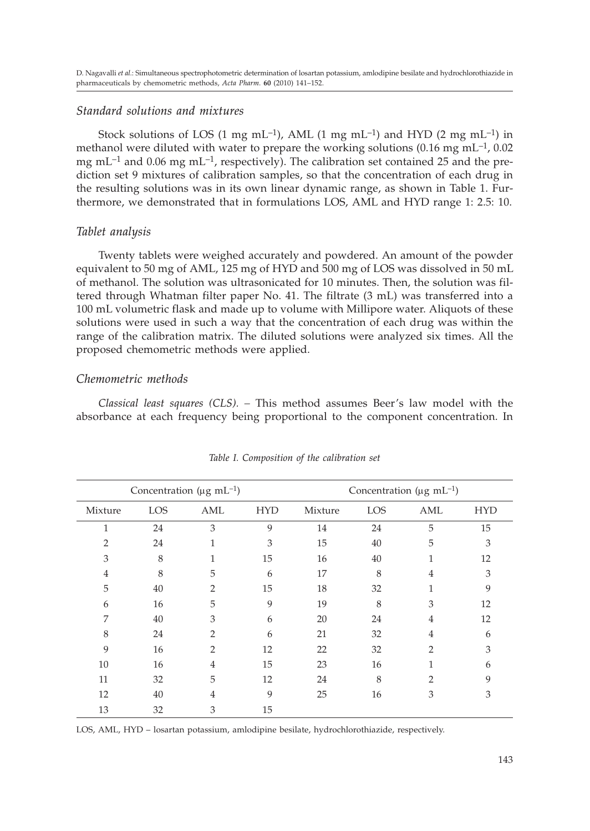# *Standard solutions and mixtures*

Stock solutions of LOS (1 mg mL<sup>-1</sup>), AML (1 mg mL<sup>-1</sup>) and HYD (2 mg mL<sup>-1</sup>) in methanol were diluted with water to prepare the working solutions  $(0.16 \text{ mg} \text{ mL}^{-1}, 0.02$ mg mL<sup>-1</sup> and 0.06 mg mL<sup>-1</sup>, respectively). The calibration set contained 25 and the prediction set 9 mixtures of calibration samples, so that the concentration of each drug in the resulting solutions was in its own linear dynamic range, as shown in Table 1. Furthermore, we demonstrated that in formulations LOS, AML and HYD range 1: 2.5: 10.

## *Tablet analysis*

Twenty tablets were weighed accurately and powdered. An amount of the powder equivalent to 50 mg of AML, 125 mg of HYD and 500 mg of LOS was dissolved in 50 mL of methanol. The solution was ultrasonicated for 10 minutes. Then, the solution was filtered through Whatman filter paper No. 41. The filtrate (3 mL) was transferred into a 100 mL volumetric flask and made up to volume with Millipore water. Aliquots of these solutions were used in such a way that the concentration of each drug was within the range of the calibration matrix. The diluted solutions were analyzed six times. All the proposed chemometric methods were applied.

# *Chemometric methods*

*Classical least squares (CLS). –* This method assumes Beer's law model with the absorbance at each frequency being proportional to the component concentration. In

|              |     | Concentration ( $\mu$ g mL <sup>-1</sup> ) |            | Concentration ( $\mu$ g mL <sup>-1</sup> ) |     |                |            |  |  |
|--------------|-----|--------------------------------------------|------------|--------------------------------------------|-----|----------------|------------|--|--|
| Mixture      | LOS | AML                                        | <b>HYD</b> | Mixture                                    | LOS | AML            | <b>HYD</b> |  |  |
| $\mathbf{1}$ | 24  | 3                                          | 9          | 14                                         | 24  | 5              | 15         |  |  |
| 2            | 24  | 1                                          | 3          | 15                                         | 40  | 5              | 3          |  |  |
| 3            | 8   | 1                                          | 15         | 16                                         | 40  | 1              | 12         |  |  |
| 4            | 8   | 5                                          | 6          | 17                                         | 8   | 4              | 3          |  |  |
| 5            | 40  | $\mathcal{P}$                              | 15         | 18                                         | 32  | 1              | 9          |  |  |
| 6            | 16  | 5                                          | 9          | 19                                         | 8   | 3              | 12         |  |  |
| 7            | 40  | 3                                          | 6          | 20                                         | 24  | 4              | 12         |  |  |
| 8            | 24  | $\mathcal{P}$                              | 6          | 21                                         | 32  | 4              | 6          |  |  |
| 9            | 16  | 2                                          | 12         | 22                                         | 32  | $\overline{2}$ | 3          |  |  |
| 10           | 16  | $\overline{4}$                             | 15         | 23                                         | 16  |                | 6          |  |  |
| 11           | 32  | 5                                          | 12         | 24                                         | 8   | $\mathcal{P}$  | 9          |  |  |
| 12           | 40  | 4                                          | 9          | 25                                         | 16  | 3              | 3          |  |  |
| 13           | 32  | 3                                          | 15         |                                            |     |                |            |  |  |

*Table I. Composition of the calibration set*

LOS, AML, HYD – losartan potassium, amlodipine besilate, hydrochlorothiazide, respectively.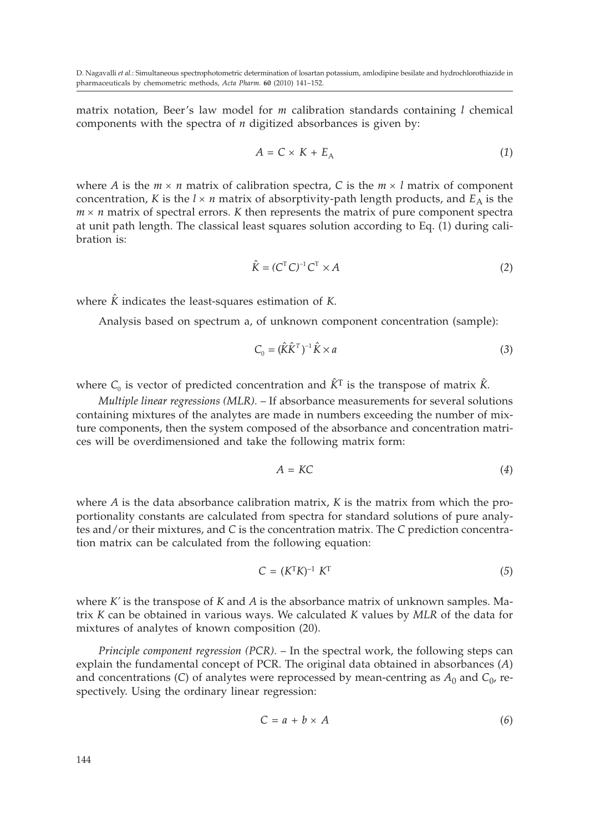matrix notation, Beer's law model for *m* calibration standards containing *l* chemical components with the spectra of *n* digitized absorbances is given by:

$$
A = C \times K + E_A \tag{1}
$$

where *A* is the  $m \times n$  matrix of calibration spectra, *C* is the  $m \times l$  matrix of component concentration, *K* is the  $l \times n$  matrix of absorptivity-path length products, and  $E_A$  is the  $m \times n$  matrix of spectral errors. *K* then represents the matrix of pure component spectra at unit path length. The classical least squares solution according to Eq. (1) during calibration is:

$$
\hat{K} = (C^{\mathrm{T}} C)^{-1} C^{\mathrm{T}} \times A \tag{2}
$$

where  $\hat{K}$  indicates the least-squares estimation of  $K$ .

Analysis based on spectrum a, of unknown component concentration (sample):

$$
C_0 = (\hat{K}\hat{K}^T)^{-1}\hat{K} \times a \tag{3}
$$

where  $C_0$  is vector of predicted concentration and  $\hat{K}^T$  is the transpose of matrix  $\hat{K}$ .

*Multiple linear regressions (MLR).* – If absorbance measurements for several solutions containing mixtures of the analytes are made in numbers exceeding the number of mixture components, then the system composed of the absorbance and concentration matrices will be overdimensioned and take the following matrix form:

$$
A = KC \tag{4}
$$

where *A* is the data absorbance calibration matrix, *K* is the matrix from which the proportionality constants are calculated from spectra for standard solutions of pure analytes and/or their mixtures, and *C* is the concentration matrix. The *C* prediction concentration matrix can be calculated from the following equation:

$$
C = (K^{T}K)^{-1} K^{T}
$$
\n
$$
(5)
$$

where *K'* is the transpose of *K* and *A* is the absorbance matrix of unknown samples. Matrix *K* can be obtained in various ways. We calculated *K* values by *MLR* of the data for mixtures of analytes of known composition (20).

*Principle component regression (PCR).* – In the spectral work, the following steps can explain the fundamental concept of PCR. The original data obtained in absorbances (*A*) and concentrations (*C*) of analytes were reprocessed by mean-centring as  $A_0$  and  $C_0$ , respectively. Using the ordinary linear regression:

$$
C = a + b \times A \tag{6}
$$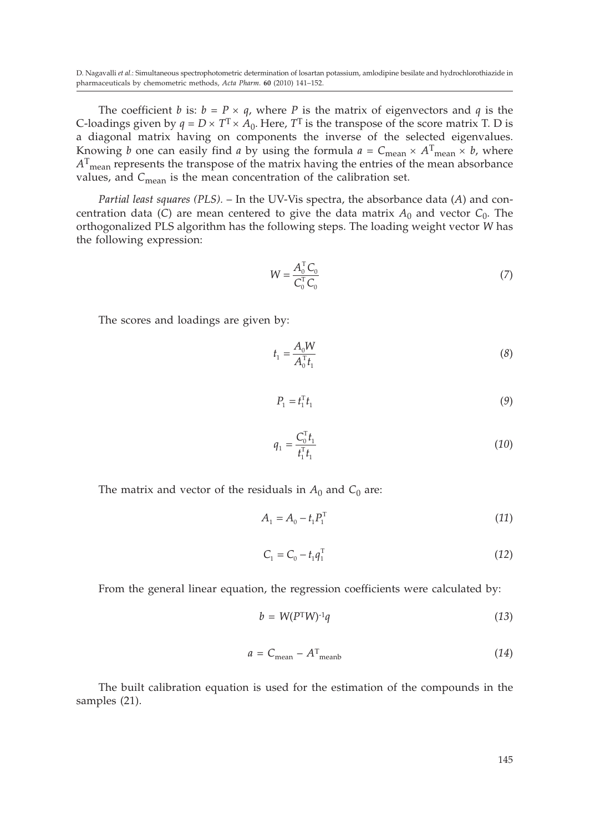The coefficient *b* is:  $b = P \times q$ , where *P* is the matrix of eigenvectors and *q* is the C-loadings given by  $q = D \times T^T \times A_0$ . Here,  $T^T$  is the transpose of the score matrix T. D is a diagonal matrix having on components the inverse of the selected eigenvalues. Knowing *b* one can easily find *a* by using the formula  $a = C_{\text{mean}} \times A^{\text{T}}_{\text{mean}} \times b$ , where  $A^{\text{T}}$ <sub>mean</sub> represents the transpose of the matrix having the entries of the mean absorbance values, and C<sub>mean</sub> is the mean concentration of the calibration set.

*Partial least squares (PLS).* – In the UV-Vis spectra, the absorbance data (*A*) and concentration data (*C*) are mean centered to give the data matrix  $A_0$  and vector  $C_0$ . The orthogonalized PLS algorithm has the following steps. The loading weight vector *W* has the following expression:

$$
W = \frac{A_0^{\mathrm{T}} C_0}{C_0^{\mathrm{T}} C_0} \tag{7}
$$

The scores and loadings are given by:

$$
t_1 = \frac{A_0 W}{A_0^{\mathrm{T}} t_1} \tag{8}
$$

$$
P_1 = t_1^{\mathrm{T}} t_1 \tag{9}
$$

$$
q_1 = \frac{C_0^{\mathrm{T}} t_1}{t_1^{\mathrm{T}} t_1} \tag{10}
$$

The matrix and vector of the residuals in  $A_0$  and  $C_0$  are:

$$
A_1 = A_0 - t_1 P_1^{\mathrm{T}} \tag{11}
$$

$$
C_1 = C_0 - t_1 q_1^{\mathrm{T}} \tag{12}
$$

From the general linear equation, the regression coefficients were calculated by:

$$
b = W(P^{\mathrm{T}}W)^{-1}q \tag{13}
$$

$$
a = C_{\text{mean}} - A^{\text{T}}_{\text{meanb}} \tag{14}
$$

The built calibration equation is used for the estimation of the compounds in the samples (21).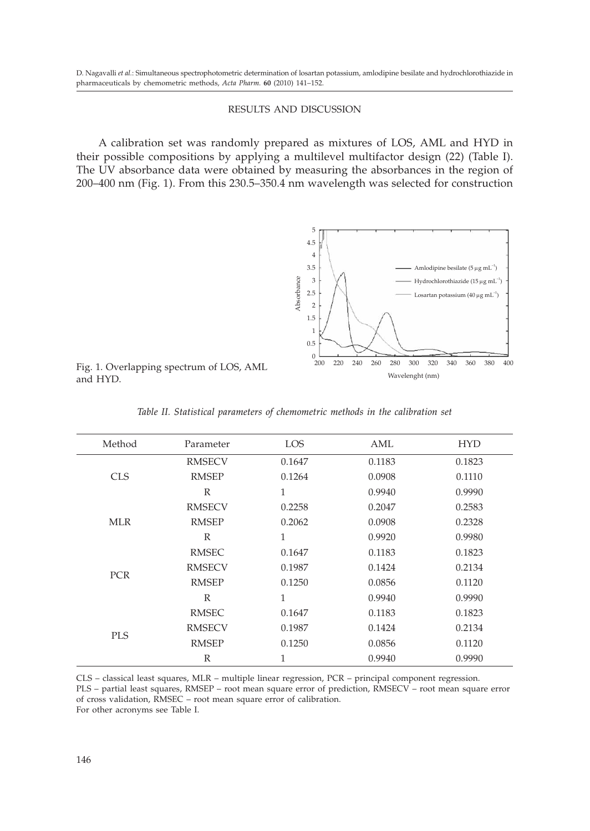#### RESULTS AND DISCUSSION

A calibration set was randomly prepared as mixtures of LOS, AML and HYD in their possible compositions by applying a multilevel multifactor design (22) (Table I). The UV absorbance data were obtained by measuring the absorbances in the region of 200–400 nm (Fig. 1). From this 230.5–350.4 nm wavelength was selected for construction



and HYD.

|            | Table II. Statistical parameters of chemometric methods in the calibration set |            |        |            |  |  |  |  |  |
|------------|--------------------------------------------------------------------------------|------------|--------|------------|--|--|--|--|--|
| Method     | Parameter                                                                      | <b>LOS</b> | AML    | <b>HYD</b> |  |  |  |  |  |
|            | <b>RMSECV</b>                                                                  | 0.1647     | 0.1183 | 0.1823     |  |  |  |  |  |
| <b>CLS</b> | <b>RMSEP</b>                                                                   | 0.1264     | 0.0908 | 0.1110     |  |  |  |  |  |
|            | R                                                                              | 1          | 0.9940 | 0.9990     |  |  |  |  |  |
|            | <b>RMSECV</b>                                                                  | 0.2258     | 0.2047 | 0.2583     |  |  |  |  |  |
| <b>MLR</b> | <b>RMSEP</b>                                                                   | 0.2062     | 0.0908 | 0.2328     |  |  |  |  |  |
|            | R                                                                              | 1          | 0.9920 | 0.9980     |  |  |  |  |  |
|            | <b>RMSEC</b>                                                                   | 0.1647     | 0.1183 | 0.1823     |  |  |  |  |  |
|            | <b>RMSECV</b>                                                                  | 0.1987     | 0.1424 | 0.2134     |  |  |  |  |  |
| <b>PCR</b> | <b>RMSEP</b>                                                                   | 0.1250     | 0.0856 | 0.1120     |  |  |  |  |  |
|            | R                                                                              | 1          | 0.9940 | 0.9990     |  |  |  |  |  |
|            | <b>RMSEC</b>                                                                   | 0.1647     | 0.1183 | 0.1823     |  |  |  |  |  |
|            | <b>RMSECV</b>                                                                  | 0.1987     | 0.1424 | 0.2134     |  |  |  |  |  |
| <b>PLS</b> | <b>RMSEP</b>                                                                   | 0.1250     | 0.0856 | 0.1120     |  |  |  |  |  |
|            | R                                                                              | 1          | 0.9940 | 0.9990     |  |  |  |  |  |

CLS – classical least squares, MLR – multiple linear regression, PCR – principal component regression.

PLS – partial least squares, RMSEP – root mean square error of prediction, RMSECV – root mean square error of cross validation, RMSEC – root mean square error of calibration.

For other acronyms see Table I.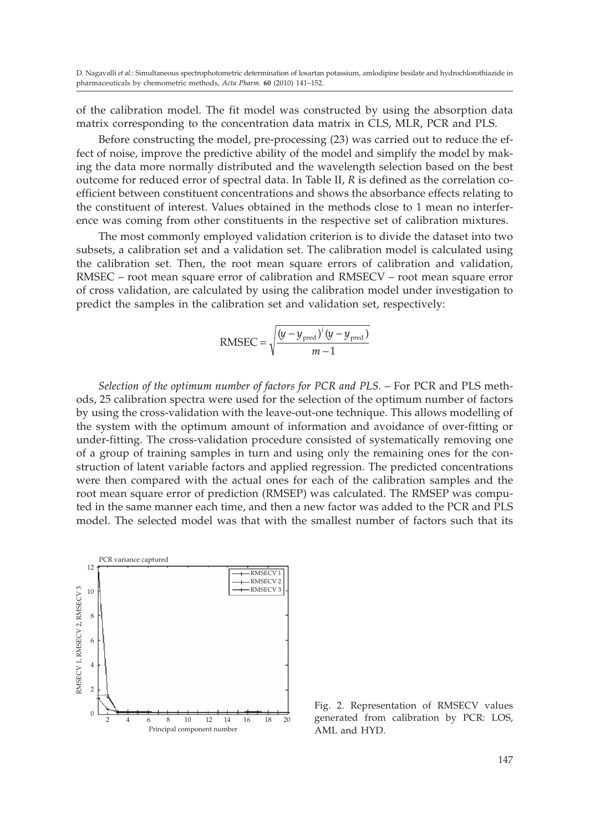of the calibration model. The fit model was constructed by using the absorption data matrix corresponding to the concentration data matrix in CLS, MLR, PCR and PLS.

Before constructing the model, pre-processing (23) was carried out to reduce the effect of noise, improve the predictive ability of the model and simplify the model by making the data more normally distributed and the wavelength selection based on the best outcome for reduced error of spectral data. In Table II, *R* is defined as the correlation coefficient between constituent concentrations and shows the absorbance effects relating to the constituent of interest. Values obtained in the methods close to 1 mean no interference was coming from other constituents in the respective set of calibration mixtures.

The most commonly employed validation criterion is to divide the dataset into two subsets, a calibration set and a validation set. The calibration model is calculated using the calibration set. Then, the root mean square errors of calibration and validation, RMSEC – root mean square error of calibration and RMSECV – root mean square error of cross validation, are calculated by using the calibration model under investigation to predict the samples in the calibration set and validation set, respectively:

RMSEC = 
$$
\sqrt{\frac{(y - y_{\text{pred}})^{i} (y - y_{\text{pred}})}{m - 1}}
$$

*Selection of the optimum number of factors for PCR and PLS.* – For PCR and PLS methods, 25 calibration spectra were used for the selection of the optimum number of factors by using the cross-validation with the leave-out-one technique. This allows modelling of the system with the optimum amount of information and avoidance of over-fitting or under-fitting. The cross-validation procedure consisted of systematically removing one of a group of training samples in turn and using only the remaining ones for the construction of latent variable factors and applied regression. The predicted concentrations were then compared with the actual ones for each of the calibration samples and the root mean square error of prediction (RMSEP) was calculated. The RMSEP was computed in the same manner each time, and then a new factor was added to the PCR and PLS model. The selected model was that with the smallest number of factors such that its



Fig. 2. Representation of RMSECV values generated from calibration by PCR: LOS, AML and HYD.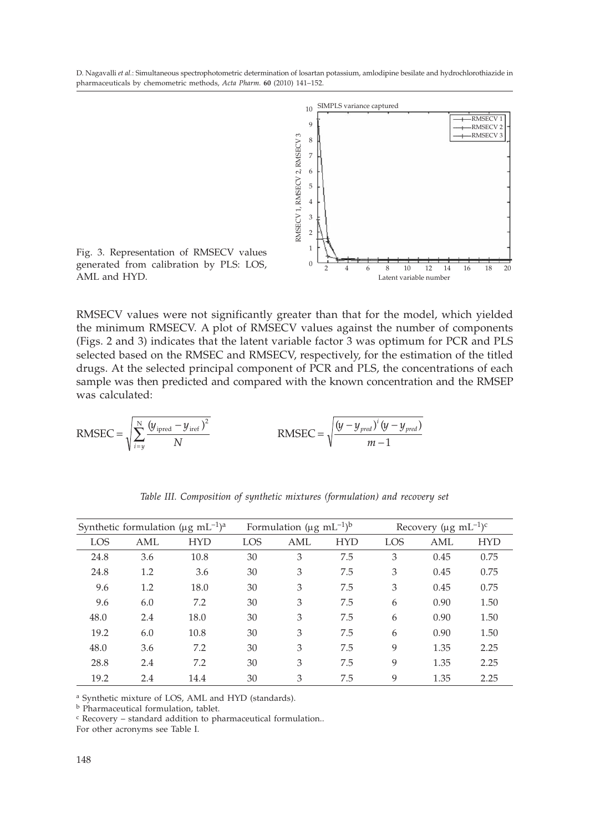



Fig. 3. Representation of RMSECV values generated from calibration by PLS: LOS, AML and HYD.

RMSECV values were not significantly greater than that for the model, which yielded the minimum RMSECV. A plot of RMSECV values against the number of components (Figs. 2 and 3) indicates that the latent variable factor 3 was optimum for PCR and PLS selected based on the RMSEC and RMSECV, respectively, for the estimation of the titled drugs. At the selected principal component of PCR and PLS, the concentrations of each sample was then predicted and compared with the known concentration and the RMSEP was calculated:

RMSEC = 
$$
\sqrt{\sum_{i=y}^{N} \frac{(y_{\text{ipred}} - y_{\text{iref}})^2}{N}}
$$
 RMSEC =  $\sqrt{\frac{(y - y_{\text{pred}})^T (y - y_{\text{pred}})}{m - 1}}$ 

| Synthetic formulation ( $\mu$ g mL <sup>-1</sup> ) <sup>a</sup> |     |            |     | Formulation ( $\mu$ g mL <sup>-1</sup> ) <sup>b</sup> |            | Recovery ( $\mu$ g mL <sup>-1</sup> ) <sup>c</sup> |      |            |
|-----------------------------------------------------------------|-----|------------|-----|-------------------------------------------------------|------------|----------------------------------------------------|------|------------|
| LOS                                                             | AML | <b>HYD</b> | LOS | AML                                                   | <b>HYD</b> | LOS                                                | AML  | <b>HYD</b> |
| 24.8                                                            | 3.6 | 10.8       | 30  | 3                                                     | 7.5        | 3                                                  | 0.45 | 0.75       |
| 24.8                                                            | 1.2 | 3.6        | 30  | 3                                                     | 7.5        | 3                                                  | 0.45 | 0.75       |
| 9.6                                                             | 1.2 | 18.0       | 30  | 3                                                     | 7.5        | 3                                                  | 0.45 | 0.75       |
| 9.6                                                             | 6.0 | 7.2        | 30  | 3                                                     | 7.5        | 6                                                  | 0.90 | 1.50       |
| 48.0                                                            | 2.4 | 18.0       | 30  | 3                                                     | 7.5        | 6                                                  | 0.90 | 1.50       |
| 19.2                                                            | 6.0 | 10.8       | 30  | 3                                                     | 7.5        | 6                                                  | 0.90 | 1.50       |
| 48.0                                                            | 3.6 | 7.2        | 30  | 3                                                     | 7.5        | 9                                                  | 1.35 | 2.25       |
| 28.8                                                            | 2.4 | 7.2        | 30  | 3                                                     | 7.5        | 9                                                  | 1.35 | 2.25       |
| 19.2                                                            | 2.4 | 14.4       | 30  | 3                                                     | 7.5        | 9                                                  | 1.35 | 2.25       |

*Table III. Composition of synthetic mixtures (formulation) and recovery set*

<sup>a</sup> Synthetic mixture of LOS, AML and HYD (standards).

<sup>b</sup> Pharmaceutical formulation, tablet.

<sup>c</sup> Recovery – standard addition to pharmaceutical formulation..

For other acronyms see Table I.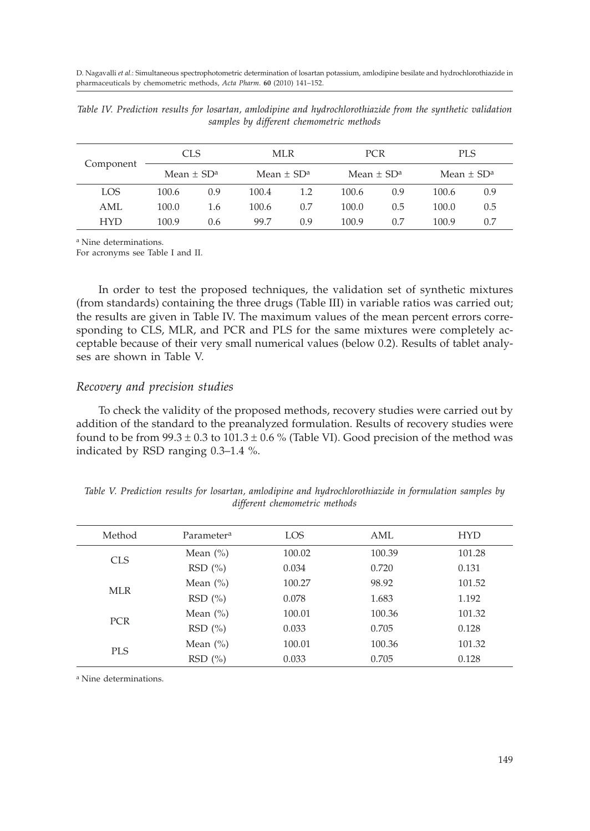| Component  | CLS                        |     | MLR                        |     | <b>PCR</b>                 |     | <b>PLS</b>                 |     |
|------------|----------------------------|-----|----------------------------|-----|----------------------------|-----|----------------------------|-----|
|            | Mean $\pm$ SD <sup>a</sup> |     | Mean $\pm$ SD <sup>a</sup> |     | Mean $\pm$ SD <sup>a</sup> |     | Mean $\pm$ SD <sup>a</sup> |     |
| LOS        | 100.6                      | 0.9 | 100.4                      | 1.2 | 100.6                      | 0.9 | 100.6                      | 0.9 |
| AML        | 100.0                      | 1.6 | 100.6                      | 0.7 | 100.0                      | 0.5 | 100.0                      | 0.5 |
| <b>HYD</b> | 100.9                      | 0.6 | 99.7                       | 0.9 | 100.9                      | 0.7 | 100.9                      | 0.7 |

*Table IV. Prediction results for losartan, amlodipine and hydrochlorothiazide from the synthetic validation samples by different chemometric methods*

<sup>a</sup> Nine determinations.

For acronyms see Table I and II.

In order to test the proposed techniques, the validation set of synthetic mixtures (from standards) containing the three drugs (Table III) in variable ratios was carried out; the results are given in Table IV. The maximum values of the mean percent errors corresponding to CLS, MLR, and PCR and PLS for the same mixtures were completely acceptable because of their very small numerical values (below 0.2). Results of tablet analyses are shown in Table V.

### *Recovery and precision studies*

To check the validity of the proposed methods, recovery studies were carried out by addition of the standard to the preanalyzed formulation. Results of recovery studies were found to be from  $99.3 \pm 0.3$  to  $101.3 \pm 0.6$  % (Table VI). Good precision of the method was indicated by RSD ranging 0.3–1.4 %.

Method Parameter<sup>a</sup> LOS AML HYD CLS Mean (%) 100.02 100.39 101.28<br>
CLS DOD (%) 2.2014 2.2020 RSD (%) 0.034 0.720 0.131 MLR Mean (%) 100.27 98.92 101.52 RSD (%) 0.078 1.683 1.192 PCR Mean (%) 100.01 100.36 101.32 RSD (%) 0.033 0.705 0.128 PLS Mean (%) 100.01 100.36 101.32 RSD (%) 0.033 0.705 0.128

*Table V. Prediction results for losartan, amlodipine and hydrochlorothiazide in formulation samples by different chemometric methods*

<sup>a</sup> Nine determinations.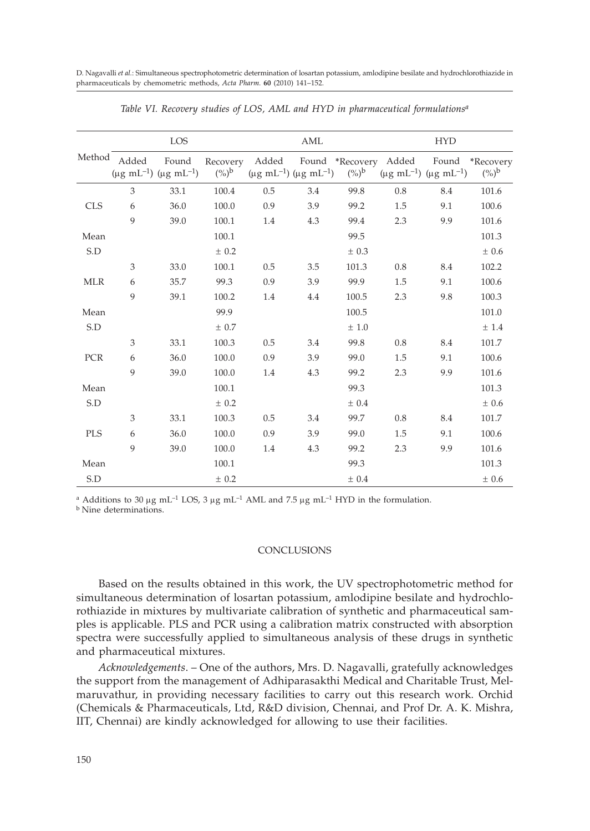|            |             | LOS                                                          |                     |                                                              | AML |                                        |       | <b>HYD</b>                                                   |                      |
|------------|-------------|--------------------------------------------------------------|---------------------|--------------------------------------------------------------|-----|----------------------------------------|-------|--------------------------------------------------------------|----------------------|
| Method     | Added       | Found<br>$(\mu g \text{ mL}^{-1})$ $(\mu g \text{ mL}^{-1})$ | Recovery<br>$(%)^b$ | Added<br>$(\mu g \text{ mL}^{-1})$ $(\mu g \text{ mL}^{-1})$ |     | Found *Recovery<br>$({\%})^{\text{b}}$ | Added | Found<br>$(\mu g \text{ mL}^{-1})$ $(\mu g \text{ mL}^{-1})$ | *Recovery<br>$(%)^b$ |
|            | 3           | 33.1                                                         | 100.4               | 0.5                                                          | 3.4 | 99.8                                   | 0.8   | 8.4                                                          | 101.6                |
| <b>CLS</b> | 6           | 36.0                                                         | 100.0               | 0.9                                                          | 3.9 | 99.2                                   | 1.5   | 9.1                                                          | 100.6                |
|            | 9           | 39.0                                                         | 100.1               | 1.4                                                          | 4.3 | 99.4                                   | 2.3   | 9.9                                                          | 101.6                |
| Mean       |             |                                                              | 100.1               |                                                              |     | 99.5                                   |       |                                                              | 101.3                |
| S.D        |             |                                                              | ± 0.2               |                                                              |     | ± 0.3                                  |       |                                                              | ± 0.6                |
|            | 3           | 33.0                                                         | 100.1               | 0.5                                                          | 3.5 | 101.3                                  | 0.8   | 8.4                                                          | 102.2                |
| <b>MLR</b> | 6           | 35.7                                                         | 99.3                | 0.9                                                          | 3.9 | 99.9                                   | 1.5   | 9.1                                                          | 100.6                |
|            | 9           | 39.1                                                         | 100.2               | 1.4                                                          | 4.4 | 100.5                                  | 2.3   | 9.8                                                          | 100.3                |
| Mean       |             |                                                              | 99.9                |                                                              |     | 100.5                                  |       |                                                              | 101.0                |
| S.D        |             |                                                              | ± 0.7               |                                                              |     | ± 1.0                                  |       |                                                              | ± 1.4                |
|            | 3           | 33.1                                                         | 100.3               | 0.5                                                          | 3.4 | 99.8                                   | 0.8   | 8.4                                                          | 101.7                |
| PCR        | 6           | 36.0                                                         | 100.0               | 0.9                                                          | 3.9 | 99.0                                   | 1.5   | 9.1                                                          | 100.6                |
|            | $\mathbf Q$ | 39.0                                                         | 100.0               | 1.4                                                          | 4.3 | 99.2                                   | 2.3   | 9.9                                                          | 101.6                |
| Mean       |             |                                                              | 100.1               |                                                              |     | 99.3                                   |       |                                                              | 101.3                |
| S.D        |             |                                                              | ± 0.2               |                                                              |     | ± 0.4                                  |       |                                                              | ± 0.6                |
|            | 3           | 33.1                                                         | 100.3               | 0.5                                                          | 3.4 | 99.7                                   | 0.8   | 8.4                                                          | 101.7                |
| <b>PLS</b> | 6           | 36.0                                                         | 100.0               | 0.9                                                          | 3.9 | 99.0                                   | 1.5   | 9.1                                                          | 100.6                |
|            | $\mathbf Q$ | 39.0                                                         | 100.0               | 1.4                                                          | 4.3 | 99.2                                   | 2.3   | 9.9                                                          | 101.6                |
| Mean       |             |                                                              | 100.1               |                                                              |     | 99.3                                   |       |                                                              | 101.3                |
| S.D        |             |                                                              | ± 0.2               |                                                              |     | ± 0.4                                  |       |                                                              | ± 0.6                |

*Table VI. Recovery studies of LOS, AML and HYD in pharmaceutical formulations<sup>a</sup>*

<sup>a</sup> Additions to 30  $\mu$ g mL<sup>-1</sup> LOS, 3  $\mu$ g mL<sup>-1</sup> AML and 7.5  $\mu$ g mL<sup>-1</sup> HYD in the formulation.

**b** Nine determinations.

### **CONCLUSIONS**

Based on the results obtained in this work, the UV spectrophotometric method for simultaneous determination of losartan potassium, amlodipine besilate and hydrochlorothiazide in mixtures by multivariate calibration of synthetic and pharmaceutical samples is applicable. PLS and PCR using a calibration matrix constructed with absorption spectra were successfully applied to simultaneous analysis of these drugs in synthetic and pharmaceutical mixtures.

*Acknowledgements*. – One of the authors, Mrs. D. Nagavalli, gratefully acknowledges the support from the management of Adhiparasakthi Medical and Charitable Trust, Melmaruvathur, in providing necessary facilities to carry out this research work. Orchid (Chemicals & Pharmaceuticals, Ltd, R&D division, Chennai, and Prof Dr. A. K. Mishra, IIT, Chennai) are kindly acknowledged for allowing to use their facilities.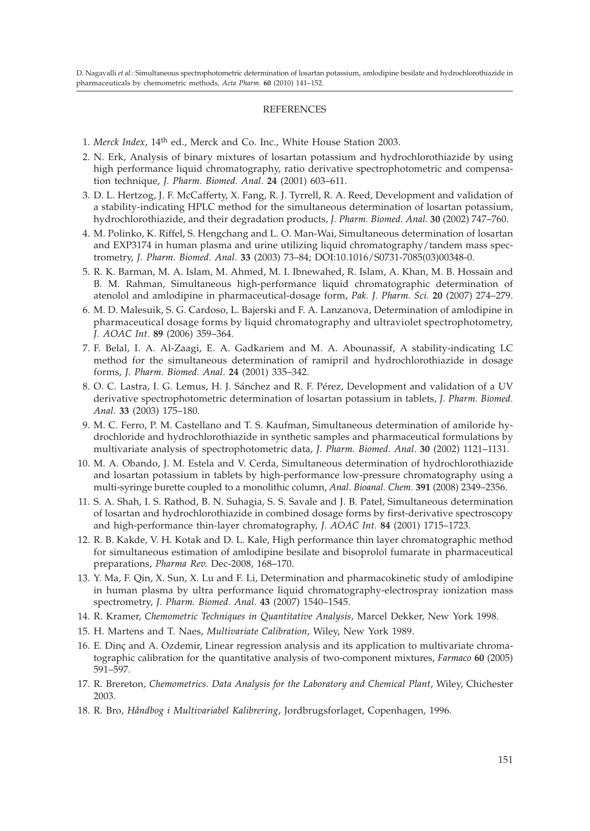#### REFERENCES

- 1. *Merck Index*, 14th ed., Merck and Co. Inc., White House Station 2003.
- 2. N. Erk, Analysis of binary mixtures of losartan potassium and hydrochlorothiazide by using high performance liquid chromatography, ratio derivative spectrophotometric and compensation technique, *J. Pharm. Biomed. Anal*. **24** (2001) 603–611.
- 3. D. L. Hertzog, J. F. McCafferty, X. Fang, R. J. Tyrrell, R. A. Reed, Development and validation of a stability-indicating HPLC method for the simultaneous determination of losartan potassium, hydrochlorothiazide, and their degradation products, *J. Pharm. Biomed. Anal.* **30** (2002) 747–760.
- 4. M. Polinko, K. Riffel, S. Hengchang and L. O. Man-Wai, Simultaneous determination of losartan and EXP3174 in human plasma and urine utilizing liquid chromatography/tandem mass spectrometry, *J. Pharm. Biomed. Anal*. **33** (2003) 73–84; DOI:10.1016/S0731-7085(03)00348-0.
- 5. R. K. Barman, M. A. Islam, M. Ahmed, M. I. Ibnewahed, R. Islam, A. Khan, M. B. Hossain and B. M. Rahman, Simultaneous high-performance liquid chromatographic determination of atenolol and amlodipine in pharmaceutical-dosage form, *Pak. J. Pharm. Sci.* **20** (2007) 274–279.
- 6. M. D. Malesuik, S. G. Cardoso, L. Bajerski and F. A. Lanzanova, Determination of amlodipine in pharmaceutical dosage forms by liquid chromatography and ultraviolet spectrophotometry, *J. AOAC Int.* **89** (2006) 359–364.
- 7. F. Belal, I. A. Al-Zaagi, E. A. Gadkariem and M. A. Abounassif, A stability-indicating LC method for the simultaneous determination of ramipril and hydrochlorothiazide in dosage forms, *J. Pharm. Biomed. Anal*. **24** (2001) 335–342.
- 8. O. C. Lastra, I. G. Lemus, H. J. Sánchez and R. F. Pérez, Development and validation of a UV derivative spectrophotometric determination of losartan potassium in tablets, *J. Pharm. Biomed. Anal*. **33** (2003) 175–180.
- 9. M. C. Ferro, P. M. Castellano and T. S. Kaufman, Simultaneous determination of amiloride hydrochloride and hydrochlorothiazide in synthetic samples and pharmaceutical formulations by multivariate analysis of spectrophotometric data, *J. Pharm. Biomed. Anal*. **30** (2002) 1121–1131.
- 10. M. A. Obando, J. M. Estela and V. Cerda, Simultaneous determination of hydrochlorothiazide and losartan potassium in tablets by high-performance low-pressure chromatography using a multi-syringe burette coupled to a monolithic column, *Anal. Bioanal. Chem.* **391** (2008) 2349–2356.
- 11. S. A. Shah, I. S. Rathod, B. N. Suhagia, S. S. Savale and J. B. Patel, Simultaneous determination of losartan and hydrochlorothiazide in combined dosage forms by first-derivative spectroscopy and high-performance thin-layer chromatography, *J. AOAC Int.* **84** (2001) 1715–1723.
- 12. R. B. Kakde, V. H. Kotak and D. L. Kale, High performance thin layer chromatographic method for simultaneous estimation of amlodipine besilate and bisoprolol fumarate in pharmaceutical preparations, *Pharma Rev.* Dec-2008, 168–170.
- 13. Y. Ma, F. Qin, X. Sun, X. Lu and F. Li, Determination and pharmacokinetic study of amlodipine in human plasma by ultra performance liquid chromatography-electrospray ionization mass spectrometry, *J. Pharm. Biomed. Anal*. **43** (2007) 1540–1545.
- 14. R. Kramer, *Chemometric Techniques in Quantitative Analysis*, Marcel Dekker, New York 1998.
- 15. H. Martens and T. Naes, *Multivariate Calibration*, Wiley, New York 1989.
- 16. E. Dinç and A. Ozdemir, Linear regression analysis and its application to multivariate chromatographic calibration for the quantitative analysis of two-component mixtures, *Farmaco* **60** (2005) 591–597.
- 17. R. Brereton, *Chemometrics. Data Analysis for the Laboratory and Chemical Plant*, Wiley, Chichester 2003.
- 18. R. Bro, *Håndbog i Multivariabel Kalibrering*, Jordbrugsforlaget, Copenhagen, 1996.